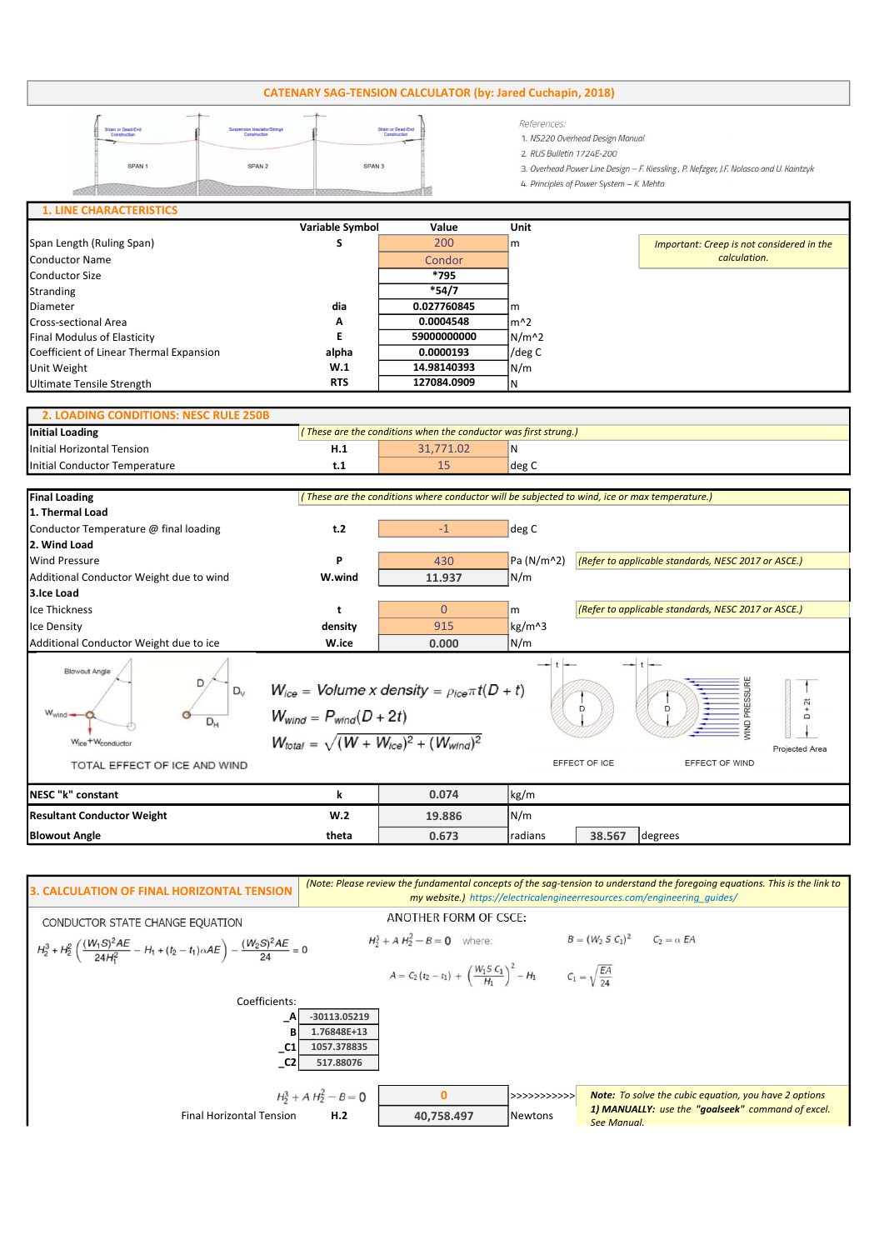## CATENARY SAG-TENSION CALCULATOR (by: Jared Cuchapin, 2018)

| <b>Strain or Dead-End</b><br>Construction | Suspension Insulator/Strings<br>Construction | Strain or Dead-End<br>Construction | References:<br>1. NS220 Overhead Design Manual<br>2. RUS Bulletin 1724E-200            |
|-------------------------------------------|----------------------------------------------|------------------------------------|----------------------------------------------------------------------------------------|
| SPAN <sub>1</sub>                         | SPAN 2                                       | SPAN <sub>3</sub>                  | 3. Overhead Power Line Design - F. Kiessling, P. Nefzger, J.F. Nolasco and U. Kaintzyk |
|                                           |                                              |                                    | 4. Principles of Power System - K. Mehta                                               |
| <b>1. LINE CHARACTERISTICS</b>            |                                              |                                    |                                                                                        |

|                                         | Variable Symbol | Value       | Unit          |                                           |
|-----------------------------------------|-----------------|-------------|---------------|-------------------------------------------|
| Span Length (Ruling Span)               |                 | 200         | $\mathsf{Im}$ | Important: Creep is not considered in the |
| Conductor Name                          |                 | Condor      |               | calculation.                              |
| Conductor Size                          |                 | *795        |               |                                           |
| Stranding                               |                 | $*54/7$     |               |                                           |
| Diameter                                | dia             | 0.027760845 | Im            |                                           |
| <b>Cross-sectional Area</b>             | A               | 0.0004548   | lm^2          |                                           |
| Final Modulus of Elasticity             | E               | 59000000000 | $N/m^2$       |                                           |
| Coefficient of Linear Thermal Expansion | alpha           | 0.0000193   | /deg C        |                                           |
| Unit Weight                             | W.1             | 14.98140393 | N/m           |                                           |
| Ultimate Tensile Strength               | <b>RTS</b>      | 127084.0909 | IN            |                                           |

## Initial Loading Initial Horizontal Tension **H.1 H.1** 31,771.02 N Initial Conductor Temperature the conductor Temperature the conductor of the conductor  $t.1$  and the conductor  $\log C$ 2. LOADING CONDITIONS: NESC RULE 250B ( These are the conditions when the conductor was first strung.)

| <b>Final Loading</b>                                                                                                   | (These are the conditions where conductor will be subjected to wind, ice or max temperature.)                                                                                |          |            |                                                     |                                                     |  |  |  |  |
|------------------------------------------------------------------------------------------------------------------------|------------------------------------------------------------------------------------------------------------------------------------------------------------------------------|----------|------------|-----------------------------------------------------|-----------------------------------------------------|--|--|--|--|
| 1. Thermal Load                                                                                                        |                                                                                                                                                                              |          |            |                                                     |                                                     |  |  |  |  |
| Conductor Temperature @ final loading                                                                                  | t.2                                                                                                                                                                          | $-1$     | deg C      |                                                     |                                                     |  |  |  |  |
| 2. Wind Load                                                                                                           |                                                                                                                                                                              |          |            |                                                     |                                                     |  |  |  |  |
| <b>Wind Pressure</b>                                                                                                   | P                                                                                                                                                                            | 430      | Pa (N/m^2) | (Refer to applicable standards, NESC 2017 or ASCE.) |                                                     |  |  |  |  |
| Additional Conductor Weight due to wind                                                                                | W.wind                                                                                                                                                                       | 11.937   | N/m        |                                                     |                                                     |  |  |  |  |
| 3.Ice Load                                                                                                             |                                                                                                                                                                              |          |            |                                                     |                                                     |  |  |  |  |
| Ice Thickness                                                                                                          | t                                                                                                                                                                            | $\Omega$ | l m        |                                                     | (Refer to applicable standards, NESC 2017 or ASCE.) |  |  |  |  |
| Ice Density                                                                                                            | density                                                                                                                                                                      | 915      | kg/m^3     |                                                     |                                                     |  |  |  |  |
| Additional Conductor Weight due to ice                                                                                 | W.ice                                                                                                                                                                        | 0.000    | N/m        |                                                     |                                                     |  |  |  |  |
| <b>Blowout Angle</b><br>$D_v$<br>$W_{wind}$<br>$D_{H}$<br>Wice <sup>+W</sup> conductor<br>TOTAL EFFECT OF ICE AND WIND | $W_{ice}$ = Volume x density = $\rho_{ice} \pi t (D + t)$<br>D<br>D<br>$W_{wind} = P_{wind}(D + 2t)$<br>$W_{total} = \sqrt{(W + W_{ice})^2 + (W_{wind})^2}$<br>EFFECT OF ICE |          |            | EFFECT OF WIND                                      | $+2t$<br>$\Box$<br>Projected Area                   |  |  |  |  |
| NESC "k" constant                                                                                                      | k                                                                                                                                                                            | 0.074    | kg/m       |                                                     |                                                     |  |  |  |  |
| <b>Resultant Conductor Weight</b>                                                                                      | W.2                                                                                                                                                                          | 19.886   | N/m        |                                                     |                                                     |  |  |  |  |
| <b>Blowout Angle</b>                                                                                                   | theta                                                                                                                                                                        | 0.673    | radians    | 38.567                                              | degrees                                             |  |  |  |  |